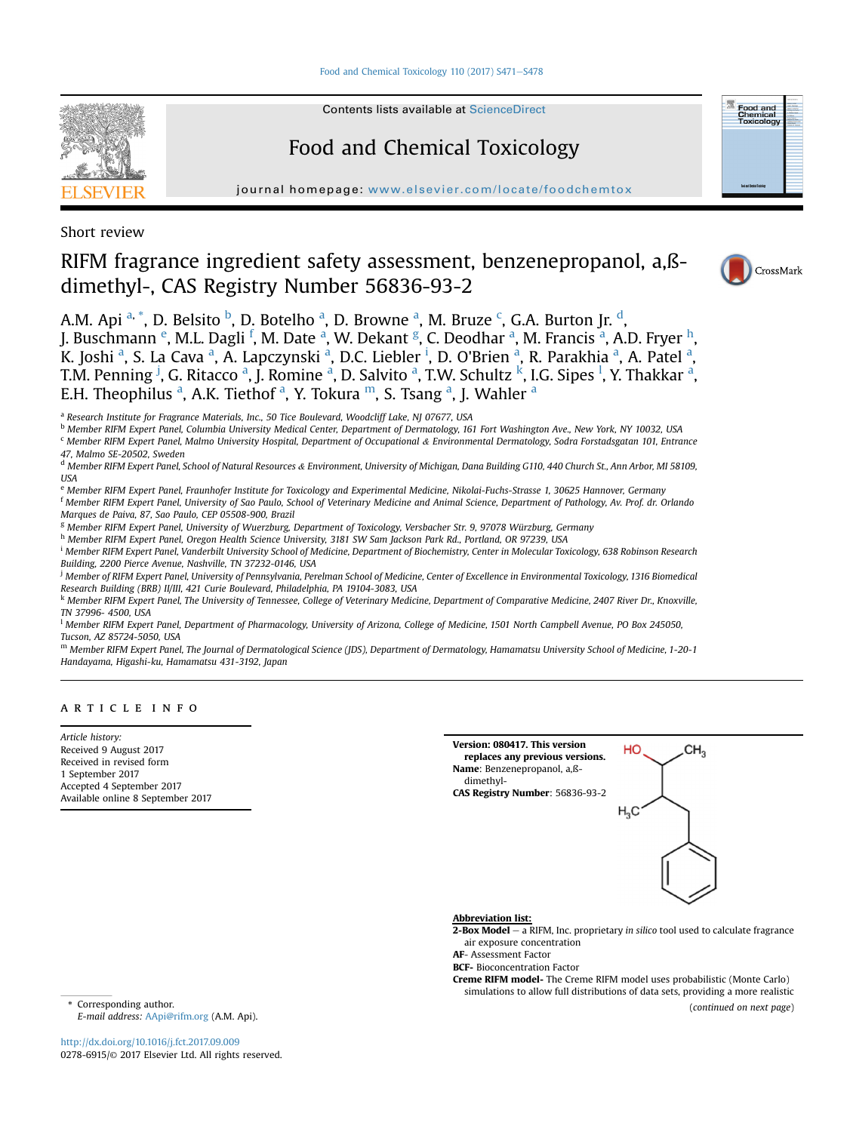[Food and Chemical Toxicology 110 \(2017\) S471](http://dx.doi.org/10.1016/j.fct.2017.09.009)-[S478](http://dx.doi.org/10.1016/j.fct.2017.09.009)



Contents lists available at [ScienceDirect](www.sciencedirect.com/science/journal/02786915)

# Food and Chemical Toxicology

journal homepage: <www.elsevier.com/locate/foodchemtox>

Short review

# RIFM fragrance ingredient safety assessment, benzenepropanol, a,ßdimethyl-, CAS Registry Number 56836-93-2



CrossMark

Food and<br>Chemical<br>Toxicology

A.M. Api  $^{\mathrm{a},\, *}$ , D. Belsito  $^{\mathrm{b}},$  D. Botelho  $^{\mathrm{a}},$  D. Browne  $^{\mathrm{a}},$  M. Bruze  $^{\mathrm{c}}$ , G.A. Burton Jr.  $^{\mathrm{d}}$ , J. Buschmann <sup>e</sup>, M.L. Dagli <sup>f</sup>, M. Date <sup>a</sup>, W. Dekant <sup>g</sup>, C. Deodhar <sup>a</sup>, M. Francis <sup>a</sup>, A.D. Fryer <sup>h</sup>, K. Joshi <sup>a</sup>, S. La Cava <sup>a</sup>, A. Lapczynski <sup>a</sup>, D.C. Liebler <sup>i</sup>, D. O'Brien <sup>a</sup>, R. Parakhia <sup>a</sup>, A. Patel <sup>a</sup>, T.M. Penning <sup>j</sup>, G. Ritacco <sup>a</sup>, J. Romine <sup>a</sup>, D. Salvito <sup>a</sup>, T.W. Schultz <sup>k</sup>, I.G. Sipes <sup>l</sup>, Y. Thakkar <sup>a</sup>, E.H. Theophilus <sup>a</sup>, A.K. Tiethof <sup>a</sup>, Y. Tokura <sup>m</sup>, S. Tsang <sup>a</sup>, J. Wahler <sup>a</sup>

<sup>a</sup> Research Institute for Fragrance Materials, Inc., 50 Tice Boulevard, Woodcliff Lake, NJ 07677, USA

<sup>b</sup> Member RIFM Expert Panel, Columbia University Medical Center, Department of Dermatology, 161 Fort Washington Ave., New York, NY 10032, USA

<sup>c</sup> Member RIFM Expert Panel, Malmo University Hospital, Department of Occupational & Environmental Dermatology, Sodra Forstadsgatan 101, Entrance 47, Malmo SE-20502, Sweden

<sup>d</sup> Member RIFM Expert Panel, School of Natural Resources & Environment, University of Michigan, Dana Building G110, 440 Church St., Ann Arbor, MI 58109, USA

e Member RIFM Expert Panel, Fraunhofer Institute for Toxicology and Experimental Medicine, Nikolai-Fuchs-Strasse 1, 30625 Hannover, Germany

<sup>f</sup> Member RIFM Expert Panel, University of Sao Paulo, School of Veterinary Medicine and Animal Science, Department of Pathology, Av. Prof. dr. Orlando Marques de Paiva, 87, Sao Paulo, CEP 05508-900, Brazil

<sup>g</sup> Member RIFM Expert Panel, University of Wuerzburg, Department of Toxicology, Versbacher Str. 9, 97078 Würzburg, Germany

h Member RIFM Expert Panel, Oregon Health Science University, 3181 SW Sam Jackson Park Rd., Portland, OR 97239, USA

<sup>i</sup> Member RIFM Expert Panel, Vanderbilt University School of Medicine, Department of Biochemistry, Center in Molecular Toxicology, 638 Robinson Research Building, 2200 Pierce Avenue, Nashville, TN 37232-0146, USA

<sup>j</sup> Member of RIFM Expert Panel, University of Pennsylvania, Perelman School of Medicine, Center of Excellence in Environmental Toxicology, 1316 Biomedical Research Building (BRB) II/III, 421 Curie Boulevard, Philadelphia, PA 19104-3083, USA

<sup>k</sup> Member RIFM Expert Panel, The University of Tennessee, College of Veterinary Medicine, Department of Comparative Medicine, 2407 River Dr., Knoxville, TN 37996- 4500, USA

<sup>1</sup> Member RIFM Expert Panel, Department of Pharmacology, University of Arizona, College of Medicine, 1501 North Campbell Avenue, PO Box 245050, Tucson, AZ 85724-5050, USA

<sup>m</sup> Member RIFM Expert Panel, The Journal of Dermatological Science (JDS), Department of Dermatology, Hamamatsu University School of Medicine, 1-20-1 Handayama, Higashi-ku, Hamamatsu 431-3192, Japan

#### article info

Article history: Received 9 August 2017 Received in revised form 1 September 2017 Accepted 4 September 2017 Available online 8 September 2017



- 2-Box Model  $-$  a RIFM, Inc. proprietary in silico tool used to calculate fragrance air exposure concentration
- AF- Assessment Factor

BCF- Bioconcentration Factor

Creme RIFM model- The Creme RIFM model uses probabilistic (Monte Carlo) simulations to allow full distributions of data sets, providing a more realistic

Corresponding author. (Continued on next page) that the corresponding author. (Continued on next page) E-mail address: [AApi@rifm.org](mailto:AApi@rifm.org) (A.M. Api).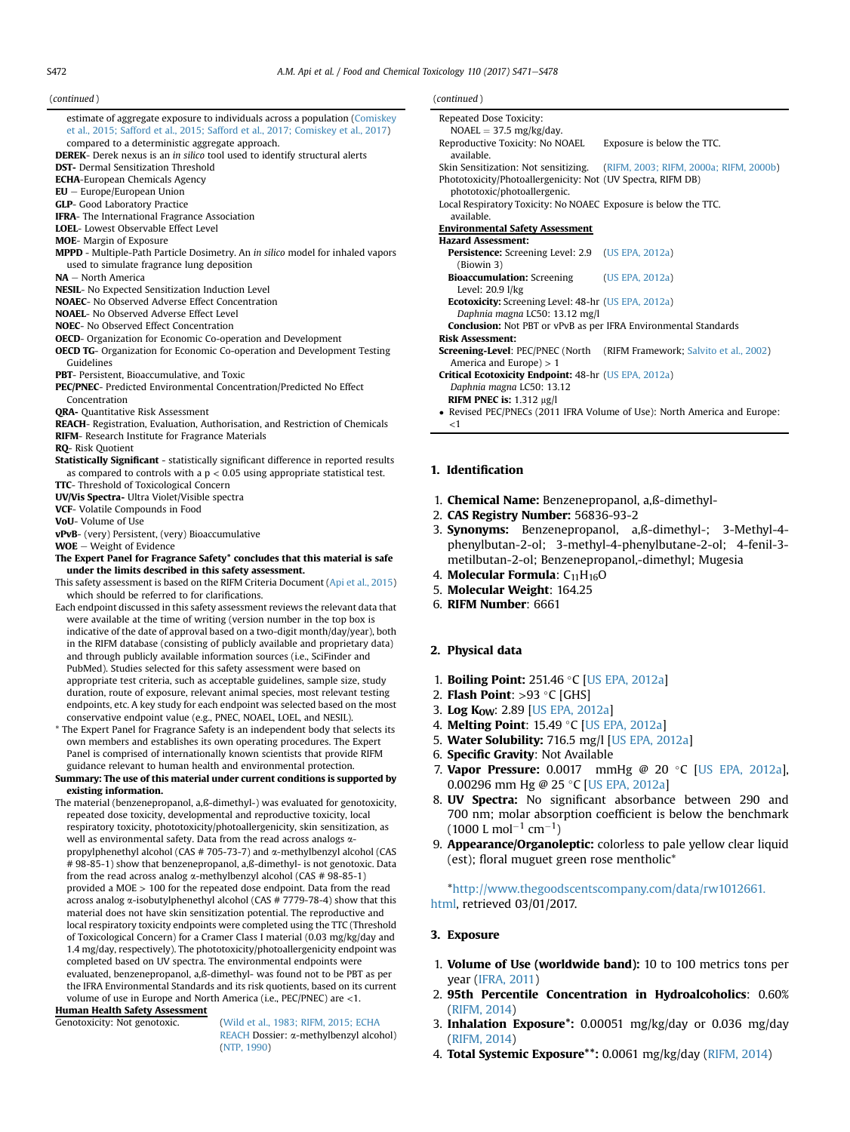(continued )

#### estimate of aggregate exposure to individuals across a population ([Comiskey](#page-7-0) [et al., 2015; Safford et al., 2015; Safford et al., 2017; Comiskey et al., 2017](#page-7-0)) compared to a deterministic aggregate approach. DEREK- Derek nexus is an in silico tool used to identify structural alerts DST- Dermal Sensitization Threshold ECHA-European Chemicals Agency  $EU - Europe/European Union$ GLP- Good Laboratory Practice IFRA- The International Fragrance Association LOEL- Lowest Observable Effect Level MOE- Margin of Exposure MPPD - Multiple-Path Particle Dosimetry. An in silico model for inhaled vapors used to simulate fragrance lung deposition  $NA - North America$ NESIL- No Expected Sensitization Induction Level NOAEC- No Observed Adverse Effect Concentration NOAEL- No Observed Adverse Effect Level NOEC- No Observed Effect Concentration OECD- Organization for Economic Co-operation and Development OECD TG- Organization for Economic Co-operation and Development Testing Guidelines PBT- Persistent, Bioaccumulative, and Toxic PEC/PNEC- Predicted Environmental Concentration/Predicted No Effect Concentration QRA- Quantitative Risk Assessment REACH- Registration, Evaluation, Authorisation, and Restriction of Chemicals RIFM- Research Institute for Fragrance Materials RQ- Risk Quotient Statistically Significant - statistically significant difference in reported results as compared to controls with a  $p < 0.05$  using appropriate statistical test. TTC- Threshold of Toxicological Concern UV/Vis Spectra- Ultra Violet/Visible spectra VCF- Volatile Compounds in Food VoU- Volume of Use vPvB- (very) Persistent, (very) Bioaccumulative  $WOE - Weight of Evidence$ The Expert Panel for Fragrance Safety\* concludes that this material is safe under the limits described in this safety assessment. This safety assessment is based on the RIFM Criteria Document [\(Api et al., 2015](#page-7-0)) which should be referred to for clarifications. Each endpoint discussed in this safety assessment reviews the relevant data that were available at the time of writing (version number in the top box is indicative of the date of approval based on a two-digit month/day/year), both in the RIFM database (consisting of publicly available and proprietary data) and through publicly available information sources (i.e., SciFinder and PubMed). Studies selected for this safety assessment were based on appropriate test criteria, such as acceptable guidelines, sample size, study duration, route of exposure, relevant animal species, most relevant testing endpoints, etc. A key study for each endpoint was selected based on the most conservative endpoint value (e.g., PNEC, NOAEL, LOEL, and NESIL). \* The Expert Panel for Fragrance Safety is an independent body that selects its

own members and establishes its own operating procedures. The Expert Panel is comprised of internationally known scientists that provide RIFM guidance relevant to human health and environmental protection.

#### Summary: The use of this material under current conditions is supported by existing information.

The material (benzenepropanol, a,ß-dimethyl-) was evaluated for genotoxicity, repeated dose toxicity, developmental and reproductive toxicity, local respiratory toxicity, phototoxicity/photoallergenicity, skin sensitization, as well as environmental safety. Data from the read across analogs apropylphenethyl alcohol (CAS # 705-73-7) and a-methylbenzyl alcohol (CAS # 98-85-1) show that benzenepropanol, a,ß-dimethyl- is not genotoxic. Data from the read across analog  $\alpha$ -methylbenzyl alcohol (CAS # 98-85-1) provided a MOE > 100 for the repeated dose endpoint. Data from the read across analog  $\alpha$ -isobutylphenethyl alcohol (CAS # 7779-78-4) show that this material does not have skin sensitization potential. The reproductive and local respiratory toxicity endpoints were completed using the TTC (Threshold of Toxicological Concern) for a Cramer Class I material (0.03 mg/kg/day and 1.4 mg/day, respectively). The phototoxicity/photoallergenicity endpoint was completed based on UV spectra. The environmental endpoints were evaluated, benzenepropanol, a,ß-dimethyl- was found not to be PBT as per the IFRA Environmental Standards and its risk quotients, based on its current volume of use in Europe and North America (i.e., PEC/PNEC) are <1.

Human Health Safety Assessment

Genotoxicity: Not genotoxic. ([Wild et al., 1983; RIFM, 2015; ECHA](#page-7-0) [REACH](#page-7-0) Dossier: a-methylbenzyl alcohol) ([NTP, 1990](#page-7-0))

# (continued )

| Repeated Dose Toxicity:                                                                      |                                                                                |
|----------------------------------------------------------------------------------------------|--------------------------------------------------------------------------------|
| $NOAEL = 37.5$ mg/kg/day.                                                                    |                                                                                |
| Reproductive Toxicity: No NOAEL<br>available                                                 | Exposure is below the TTC.                                                     |
|                                                                                              | Skin Sensitization: Not sensitizing. (RIFM, 2003; RIFM, 2000a; RIFM, 2000b)    |
| Phototoxicity/Photoallergenicity: Not (UV Spectra, RIFM DB)<br>phototoxic/photoallergenic.   |                                                                                |
| Local Respiratory Toxicity: No NOAEC Exposure is below the TTC.<br>available                 |                                                                                |
| <b>Environmental Safety Assessment</b>                                                       |                                                                                |
| <b>Hazard Assessment:</b>                                                                    |                                                                                |
| <b>Persistence:</b> Screening Level: 2.9 (US EPA, 2012a)                                     |                                                                                |
| (Biowin 3)                                                                                   |                                                                                |
| <b>Bioaccumulation:</b> Screening                                                            | (US EPA, 2012a)                                                                |
| Level: 20.9 l/kg                                                                             |                                                                                |
| <b>Ecotoxicity:</b> Screening Level: 48-hr (US EPA, 2012a)<br>Daphnia magna LC50: 13.12 mg/l |                                                                                |
| <b>Conclusion:</b> Not PBT or vPvB as per IFRA Environmental Standards                       |                                                                                |
| <b>Risk Assessment:</b>                                                                      |                                                                                |
|                                                                                              | <b>Screening-Level:</b> PEC/PNEC (North (RIFM Framework; Salvito et al., 2002) |
| America and Europe $) > 1$                                                                   |                                                                                |
| <b>Critical Ecotoxicity Endpoint: 48-hr (US EPA, 2012a)</b>                                  |                                                                                |
| Daphnia magna LC50: 13.12                                                                    |                                                                                |
| <b>RIFM PNEC is:</b> $1.312 \mu g/l$                                                         |                                                                                |
|                                                                                              | • Revised PEC/PNECs (2011 IFRA Volume of Use): North America and Europe:       |
| $<$ 1                                                                                        |                                                                                |

# 1. Identification

- 1. Chemical Name: Benzenepropanol, a,ß-dimethyl-
- 2. CAS Registry Number: 56836-93-2
- 3. Synonyms: Benzenepropanol, a,ß-dimethyl-; 3-Methyl-4 phenylbutan-2-ol; 3-methyl-4-phenylbutane-2-ol; 4-fenil-3 metilbutan-2-ol; Benzenepropanol,-dimethyl; Mugesia
- 4. Molecular Formula:  $C_{11}H_{16}O$
- 5. Molecular Weight: 164.25
- 6. RIFM Number: 6661

# 2. Physical data

- 1. Boiling Point: 251.46 °C [\[US EPA, 2012a\]](#page-7-0)
- 2. Flash Point:  $>93$  °C [GHS]
- 3. Log Kow: 2.89 [\[US EPA, 2012a](#page-7-0)]
- 4. Melting Point: 15.49 °C [\[US EPA, 2012a](#page-7-0)]
- 5. Water Solubility: 716.5 mg/l [[US EPA, 2012a\]](#page-7-0)
- 6. Specific Gravity: Not Available
- 7. Vapor Pressure: 0.0017 mmHg @ 20 °C [\[US EPA, 2012a](#page-7-0)], 0.00296 mm Hg @ 25 °C [\[US EPA, 2012a](#page-7-0)]
- 8. UV Spectra: No significant absorbance between 290 and 700 nm; molar absorption coefficient is below the benchmark  $(1000 \text{ L mol}^{-1} \text{ cm}^{-1})$
- 9. Appearance/Organoleptic: colorless to pale yellow clear liquid (est); floral muguet green rose mentholic\*

[\\*http://www.thegoodscentscompany.com/data/rw1012661.](http://www.thegoodscentscompany.com/data/rw1012661.html) [html,](http://www.thegoodscentscompany.com/data/rw1012661.html) retrieved 03/01/2017.

#### 3. Exposure

- 1. Volume of Use (worldwide band): 10 to 100 metrics tons per year [\(IFRA, 2011\)](#page-7-0)
- 2. 95th Percentile Concentration in Hydroalcoholics: 0.60% ([RIFM, 2014\)](#page-7-0)
- 3. Inhalation Exposure\*: 0.00051 mg/kg/day or 0.036 mg/day ([RIFM, 2014\)](#page-7-0)
- 4. Total Systemic Exposure\*\*: 0.0061 mg/kg/day [\(RIFM, 2014](#page-7-0))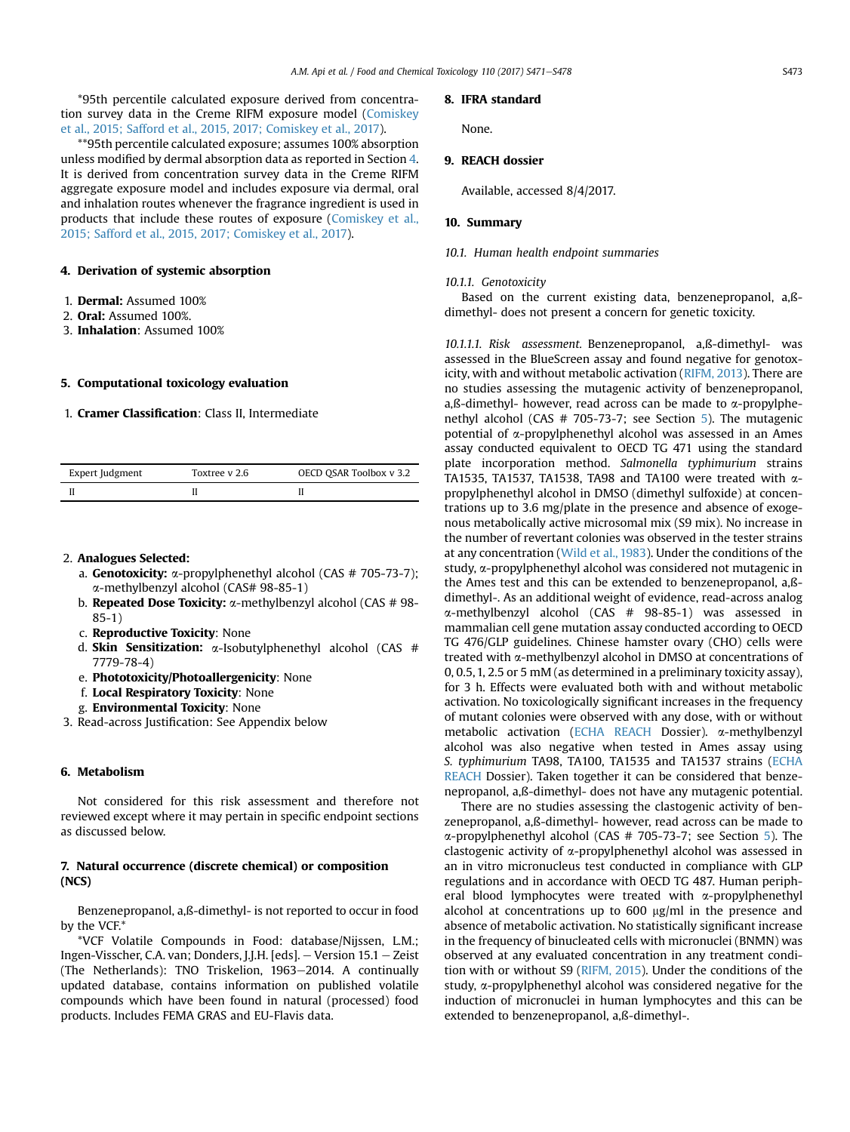<span id="page-2-0"></span>\*95th percentile calculated exposure derived from concentration survey data in the Creme RIFM exposure model [\(Comiskey](#page-7-0) [et al., 2015; Safford et al., 2015, 2017; Comiskey et al., 2017](#page-7-0)).

\*\*95th percentile calculated exposure; assumes 100% absorption unless modified by dermal absorption data as reported in Section 4. It is derived from concentration survey data in the Creme RIFM aggregate exposure model and includes exposure via dermal, oral and inhalation routes whenever the fragrance ingredient is used in products that include these routes of exposure [\(Comiskey et al.,](#page-7-0) [2015; Safford et al., 2015, 2017; Comiskey et al., 2017](#page-7-0)).

# 4. Derivation of systemic absorption

- 1. Dermal: Assumed 100%
- 2. Oral: Assumed 100%.
- 3. Inhalation: Assumed 100%

# 5. Computational toxicology evaluation

1. Cramer Classification: Class II, Intermediate

| Expert Judgment | Toxtree v 2.6 | OECD OSAR Toolbox v 3.2 |
|-----------------|---------------|-------------------------|
|                 |               |                         |

#### 2. Analogues Selected:

- a. **Genotoxicity:**  $\alpha$ -propylphenethyl alcohol (CAS  $\#$  705-73-7); a-methylbenzyl alcohol (CAS# 98-85-1)
- b. Repeated Dose Toxicity:  $\alpha$ -methylbenzyl alcohol (CAS # 98-85-1)
- c. Reproductive Toxicity: None
- d. Skin Sensitization:  $\alpha$ -Isobutylphenethyl alcohol (CAS # 7779-78-4)
- e. Phototoxicity/Photoallergenicity: None
- f. Local Respiratory Toxicity: None
- g. Environmental Toxicity: None
- 3. Read-across Justification: See Appendix below

#### 6. Metabolism

Not considered for this risk assessment and therefore not reviewed except where it may pertain in specific endpoint sections as discussed below.

# 7. Natural occurrence (discrete chemical) or composition (NCS)

Benzenepropanol, a,ß-dimethyl- is not reported to occur in food by the VCF.\*

\*VCF Volatile Compounds in Food: database/Nijssen, L.M.; Ingen-Visscher, C.A. van; Donders, J.J.H. [eds]. - Version 15.1 - Zeist (The Netherlands): TNO Triskelion, 1963-2014. A continually updated database, contains information on published volatile compounds which have been found in natural (processed) food products. Includes FEMA GRAS and EU-Flavis data.

#### 8. IFRA standard

None.

# 9. REACH dossier

Available, accessed 8/4/2017.

# 10. Summary

#### 10.1. Human health endpoint summaries

#### 10.1.1. Genotoxicity

Based on the current existing data, benzenepropanol, a,ßdimethyl- does not present a concern for genetic toxicity.

10.1.1.1. Risk assessment. Benzenepropanol, a,ß-dimethyl- was assessed in the BlueScreen assay and found negative for genotoxicity, with and without metabolic activation [\(RIFM, 2013\)](#page-7-0). There are no studies assessing the mutagenic activity of benzenepropanol, a,  $\beta$ -dimethyl- however, read across can be made to  $\alpha$ -propylphenethyl alcohol (CAS # 705-73-7; see Section 5). The mutagenic potential of a-propylphenethyl alcohol was assessed in an Ames assay conducted equivalent to OECD TG 471 using the standard plate incorporation method. Salmonella typhimurium strains TA1535, TA1537, TA1538, TA98 and TA100 were treated with  $\alpha$ propylphenethyl alcohol in DMSO (dimethyl sulfoxide) at concentrations up to 3.6 mg/plate in the presence and absence of exogenous metabolically active microsomal mix (S9 mix). No increase in the number of revertant colonies was observed in the tester strains at any concentration [\(Wild et al., 1983](#page-7-0)). Under the conditions of the study, a-propylphenethyl alcohol was considered not mutagenic in the Ames test and this can be extended to benzenepropanol, a,ßdimethyl-. As an additional weight of evidence, read-across analog a-methylbenzyl alcohol (CAS # 98-85-1) was assessed in mammalian cell gene mutation assay conducted according to OECD TG 476/GLP guidelines. Chinese hamster ovary (CHO) cells were treated with a-methylbenzyl alcohol in DMSO at concentrations of 0, 0.5, 1, 2.5 or 5 mM (as determined in a preliminary toxicity assay), for 3 h. Effects were evaluated both with and without metabolic activation. No toxicologically significant increases in the frequency of mutant colonies were observed with any dose, with or without metabolic activation ([ECHA REACH](#page-7-0) Dossier). a-methylbenzyl alcohol was also negative when tested in Ames assay using S. typhimurium TA98, TA100, TA1535 and TA1537 strains [\(ECHA](#page-7-0) [REACH](#page-7-0) Dossier). Taken together it can be considered that benzenepropanol, a,ß-dimethyl- does not have any mutagenic potential.

There are no studies assessing the clastogenic activity of benzenepropanol, a,ß-dimethyl- however, read across can be made to  $\alpha$ -propylphenethyl alcohol (CAS # 705-73-7; see Section 5). The clastogenic activity of a-propylphenethyl alcohol was assessed in an in vitro micronucleus test conducted in compliance with GLP regulations and in accordance with OECD TG 487. Human peripheral blood lymphocytes were treated with a-propylphenethyl alcohol at concentrations up to  $600 \mu g/ml$  in the presence and absence of metabolic activation. No statistically significant increase in the frequency of binucleated cells with micronuclei (BNMN) was observed at any evaluated concentration in any treatment condition with or without S9 [\(RIFM, 2015](#page-7-0)). Under the conditions of the study, a-propylphenethyl alcohol was considered negative for the induction of micronuclei in human lymphocytes and this can be extended to benzenepropanol, a,ß-dimethyl-.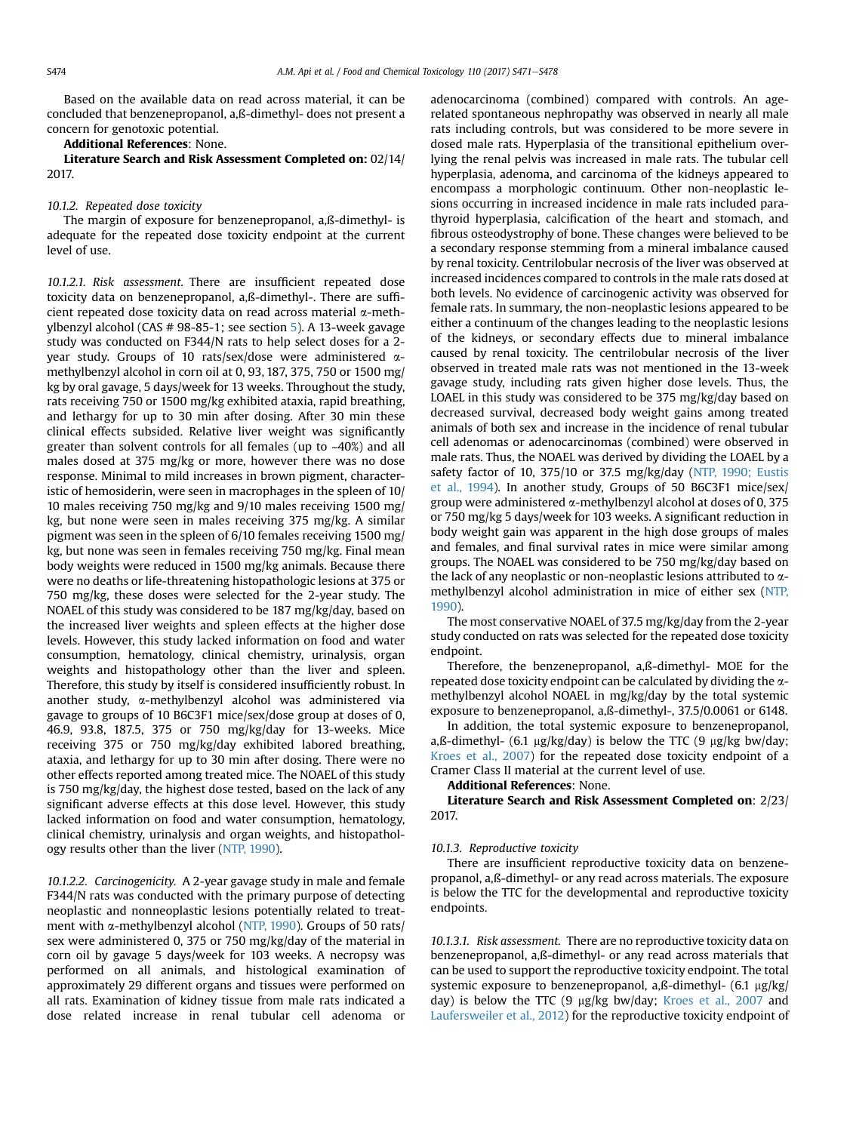Based on the available data on read across material, it can be concluded that benzenepropanol, a,ß-dimethyl- does not present a concern for genotoxic potential.

Additional References: None.

Literature Search and Risk Assessment Completed on: 02/14/ 2017.

#### 10.1.2. Repeated dose toxicity

The margin of exposure for benzenepropanol, a,ß-dimethyl- is adequate for the repeated dose toxicity endpoint at the current level of use.

10.1.2.1. Risk assessment. There are insufficient repeated dose toxicity data on benzenepropanol, a,ß-dimethyl-. There are sufficient repeated dose toxicity data on read across material a-methylbenzyl alcohol (CAS # 98-85-1; see section [5](#page-2-0)). A 13-week gavage study was conducted on F344/N rats to help select doses for a 2 year study. Groups of 10 rats/sex/dose were administered  $\alpha$ methylbenzyl alcohol in corn oil at 0, 93, 187, 375, 750 or 1500 mg/ kg by oral gavage, 5 days/week for 13 weeks. Throughout the study, rats receiving 750 or 1500 mg/kg exhibited ataxia, rapid breathing, and lethargy for up to 30 min after dosing. After 30 min these clinical effects subsided. Relative liver weight was significantly greater than solvent controls for all females (up to ~40%) and all males dosed at 375 mg/kg or more, however there was no dose response. Minimal to mild increases in brown pigment, characteristic of hemosiderin, were seen in macrophages in the spleen of 10/ 10 males receiving 750 mg/kg and 9/10 males receiving 1500 mg/ kg, but none were seen in males receiving 375 mg/kg. A similar pigment was seen in the spleen of 6/10 females receiving 1500 mg/ kg, but none was seen in females receiving 750 mg/kg. Final mean body weights were reduced in 1500 mg/kg animals. Because there were no deaths or life-threatening histopathologic lesions at 375 or 750 mg/kg, these doses were selected for the 2-year study. The NOAEL of this study was considered to be 187 mg/kg/day, based on the increased liver weights and spleen effects at the higher dose levels. However, this study lacked information on food and water consumption, hematology, clinical chemistry, urinalysis, organ weights and histopathology other than the liver and spleen. Therefore, this study by itself is considered insufficiently robust. In another study, a-methylbenzyl alcohol was administered via gavage to groups of 10 B6C3F1 mice/sex/dose group at doses of 0, 46.9, 93.8, 187.5, 375 or 750 mg/kg/day for 13-weeks. Mice receiving 375 or 750 mg/kg/day exhibited labored breathing, ataxia, and lethargy for up to 30 min after dosing. There were no other effects reported among treated mice. The NOAEL of this study is 750 mg/kg/day, the highest dose tested, based on the lack of any significant adverse effects at this dose level. However, this study lacked information on food and water consumption, hematology, clinical chemistry, urinalysis and organ weights, and histopathology results other than the liver [\(NTP, 1990\)](#page-7-0).

10.1.2.2. Carcinogenicity. A 2-year gavage study in male and female F344/N rats was conducted with the primary purpose of detecting neoplastic and nonneoplastic lesions potentially related to treatment with  $\alpha$ -methylbenzyl alcohol ([NTP, 1990](#page-7-0)). Groups of 50 rats/ sex were administered 0, 375 or 750 mg/kg/day of the material in corn oil by gavage 5 days/week for 103 weeks. A necropsy was performed on all animals, and histological examination of approximately 29 different organs and tissues were performed on all rats. Examination of kidney tissue from male rats indicated a dose related increase in renal tubular cell adenoma or adenocarcinoma (combined) compared with controls. An agerelated spontaneous nephropathy was observed in nearly all male rats including controls, but was considered to be more severe in dosed male rats. Hyperplasia of the transitional epithelium overlying the renal pelvis was increased in male rats. The tubular cell hyperplasia, adenoma, and carcinoma of the kidneys appeared to encompass a morphologic continuum. Other non-neoplastic lesions occurring in increased incidence in male rats included parathyroid hyperplasia, calcification of the heart and stomach, and fibrous osteodystrophy of bone. These changes were believed to be a secondary response stemming from a mineral imbalance caused by renal toxicity. Centrilobular necrosis of the liver was observed at increased incidences compared to controls in the male rats dosed at both levels. No evidence of carcinogenic activity was observed for female rats. In summary, the non-neoplastic lesions appeared to be either a continuum of the changes leading to the neoplastic lesions of the kidneys, or secondary effects due to mineral imbalance caused by renal toxicity. The centrilobular necrosis of the liver observed in treated male rats was not mentioned in the 13-week gavage study, including rats given higher dose levels. Thus, the LOAEL in this study was considered to be 375 mg/kg/day based on decreased survival, decreased body weight gains among treated animals of both sex and increase in the incidence of renal tubular cell adenomas or adenocarcinomas (combined) were observed in male rats. Thus, the NOAEL was derived by dividing the LOAEL by a safety factor of 10, 375/10 or 37.5 mg/kg/day [\(NTP, 1990; Eustis](#page-7-0) [et al., 1994\)](#page-7-0). In another study, Groups of 50 B6C3F1 mice/sex/ group were administered a-methylbenzyl alcohol at doses of 0, 375 or 750 mg/kg 5 days/week for 103 weeks. A significant reduction in body weight gain was apparent in the high dose groups of males and females, and final survival rates in mice were similar among groups. The NOAEL was considered to be 750 mg/kg/day based on the lack of any neoplastic or non-neoplastic lesions attributed to  $\alpha$ methylbenzyl alcohol administration in mice of either sex [\(NTP,](#page-7-0) [1990](#page-7-0)).

The most conservative NOAEL of 37.5 mg/kg/day from the 2-year study conducted on rats was selected for the repeated dose toxicity endpoint.

Therefore, the benzenepropanol, a,ß-dimethyl- MOE for the repeated dose toxicity endpoint can be calculated by dividing the  $\alpha$ methylbenzyl alcohol NOAEL in mg/kg/day by the total systemic exposure to benzenepropanol, a,ß-dimethyl-, 37.5/0.0061 or 6148.

In addition, the total systemic exposure to benzenepropanol, a, ß-dimethyl-  $(6.1 \text{ µg/kg/day})$  is below the TTC  $(9 \text{ µg/kg bw/day})$ [Kroes et al., 2007\)](#page-7-0) for the repeated dose toxicity endpoint of a Cramer Class II material at the current level of use.

Additional References: None.

Literature Search and Risk Assessment Completed on: 2/23/ 2017.

#### 10.1.3. Reproductive toxicity

There are insufficient reproductive toxicity data on benzenepropanol, a,ß-dimethyl- or any read across materials. The exposure is below the TTC for the developmental and reproductive toxicity endpoints.

10.1.3.1. Risk assessment. There are no reproductive toxicity data on benzenepropanol, a,ß-dimethyl- or any read across materials that can be used to support the reproductive toxicity endpoint. The total systemic exposure to benzenepropanol, a,ß-dimethyl- (6.1 µg/kg/ day) is below the TTC (9  $\mu$ g/kg bw/day; [Kroes et al., 2007](#page-7-0) and [Laufersweiler et al., 2012\)](#page-7-0) for the reproductive toxicity endpoint of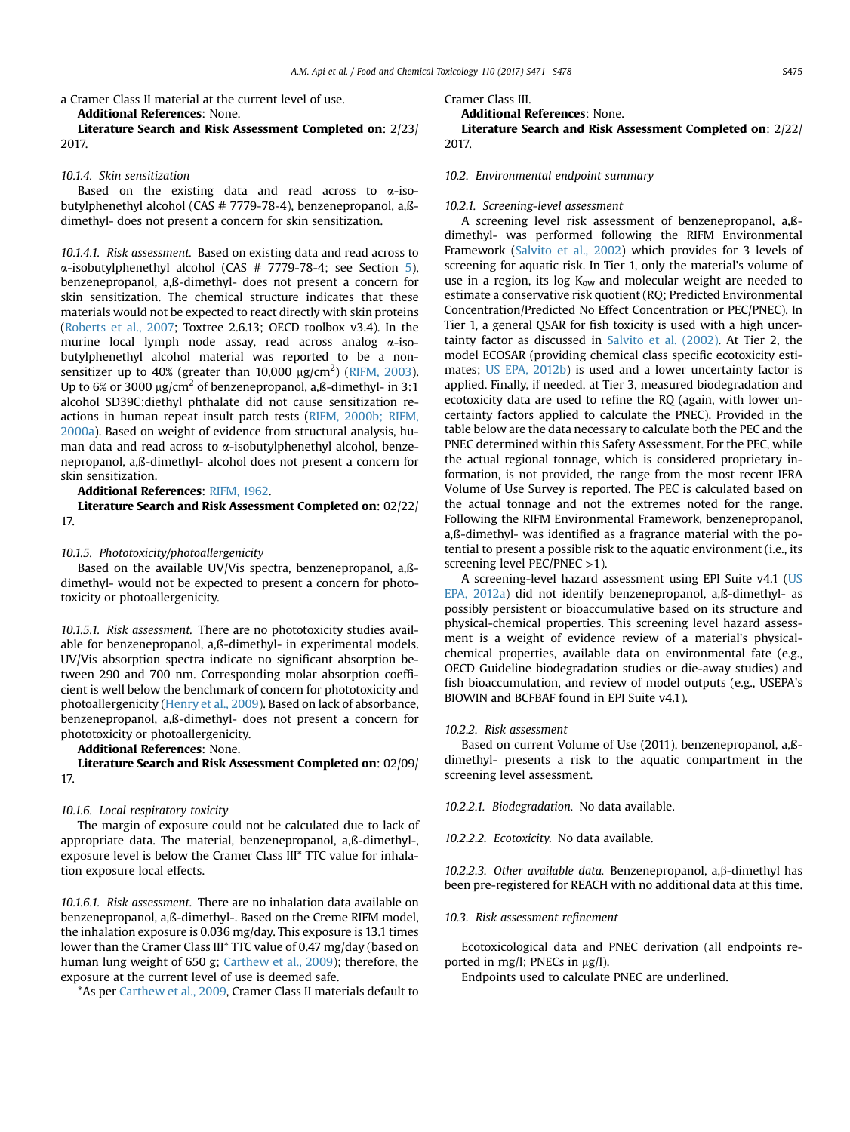# a Cramer Class II material at the current level of use.

Additional References: None.

Literature Search and Risk Assessment Completed on: 2/23/ 2017.

#### 10.1.4. Skin sensitization

Based on the existing data and read across to  $\alpha$ -isobutylphenethyl alcohol (CAS # 7779-78-4), benzenepropanol, a,ßdimethyl- does not present a concern for skin sensitization.

10.1.4.1. Risk assessment. Based on existing data and read across to  $\alpha$ -isobutylphenethyl alcohol (CAS # 7779-78-4; see Section [5\)](#page-2-0), benzenepropanol, a,ß-dimethyl- does not present a concern for skin sensitization. The chemical structure indicates that these materials would not be expected to react directly with skin proteins ([Roberts et al., 2007](#page-7-0); Toxtree 2.6.13; OECD toolbox v3.4). In the murine local lymph node assay, read across analog  $\alpha$ -isobutylphenethyl alcohol material was reported to be a nonsensitizer up to 40% (greater than 10,000  $\mu$ g/cm<sup>2</sup>) ([RIFM, 2003\)](#page-7-0). Up to 6% or 3000  $\mu$ g/cm<sup>2</sup> of benzenepropanol, a,ß-dimethyl- in 3:1 alcohol SD39C:diethyl phthalate did not cause sensitization reactions in human repeat insult patch tests [\(RIFM, 2000b; RIFM,](#page-7-0) [2000a](#page-7-0)). Based on weight of evidence from structural analysis, human data and read across to  $\alpha$ -isobutylphenethyl alcohol, benzenepropanol, a,ß-dimethyl- alcohol does not present a concern for skin sensitization.

# Additional References: [RIFM, 1962](#page-7-0).

Literature Search and Risk Assessment Completed on: 02/22/ 17.

#### 10.1.5. Phototoxicity/photoallergenicity

Based on the available UV/Vis spectra, benzenepropanol, a,ßdimethyl- would not be expected to present a concern for phototoxicity or photoallergenicity.

10.1.5.1. Risk assessment. There are no phototoxicity studies available for benzenepropanol, a,ß-dimethyl- in experimental models. UV/Vis absorption spectra indicate no significant absorption between 290 and 700 nm. Corresponding molar absorption coefficient is well below the benchmark of concern for phototoxicity and photoallergenicity [\(Henry et al., 2009](#page-7-0)). Based on lack of absorbance, benzenepropanol, a,ß-dimethyl- does not present a concern for phototoxicity or photoallergenicity.

#### Additional References: None.

Literature Search and Risk Assessment Completed on: 02/09/ 17.

### 10.1.6. Local respiratory toxicity

The margin of exposure could not be calculated due to lack of appropriate data. The material, benzenepropanol, a,ß-dimethyl-, exposure level is below the Cramer Class III\* TTC value for inhalation exposure local effects.

10.1.6.1. Risk assessment. There are no inhalation data available on benzenepropanol, a,ß-dimethyl-. Based on the Creme RIFM model, the inhalation exposure is 0.036 mg/day. This exposure is 13.1 times lower than the Cramer Class III<sup>\*</sup> TTC value of 0.47 mg/day (based on human lung weight of 650 g; [Carthew et al., 2009](#page-7-0)); therefore, the exposure at the current level of use is deemed safe.

\*As per [Carthew et al., 2009,](#page-7-0) Cramer Class II materials default to

Cramer Class III.

Additional References: None. Literature Search and Risk Assessment Completed on: 2/22/ 2017.

10.2. Environmental endpoint summary

#### 10.2.1. Screening-level assessment

A screening level risk assessment of benzenepropanol, a,ßdimethyl- was performed following the RIFM Environmental Framework [\(Salvito et al., 2002\)](#page-7-0) which provides for 3 levels of screening for aquatic risk. In Tier 1, only the material's volume of use in a region, its log  $K_{ow}$  and molecular weight are needed to estimate a conservative risk quotient (RQ; Predicted Environmental Concentration/Predicted No Effect Concentration or PEC/PNEC). In Tier 1, a general QSAR for fish toxicity is used with a high uncertainty factor as discussed in [Salvito et al. \(2002\).](#page-7-0) At Tier 2, the model ECOSAR (providing chemical class specific ecotoxicity estimates; [US EPA, 2012b\)](#page-7-0) is used and a lower uncertainty factor is applied. Finally, if needed, at Tier 3, measured biodegradation and ecotoxicity data are used to refine the RQ (again, with lower uncertainty factors applied to calculate the PNEC). Provided in the table below are the data necessary to calculate both the PEC and the PNEC determined within this Safety Assessment. For the PEC, while the actual regional tonnage, which is considered proprietary information, is not provided, the range from the most recent IFRA Volume of Use Survey is reported. The PEC is calculated based on the actual tonnage and not the extremes noted for the range. Following the RIFM Environmental Framework, benzenepropanol, a,ß-dimethyl- was identified as a fragrance material with the potential to present a possible risk to the aquatic environment (i.e., its screening level PEC/PNEC > 1).

A screening-level hazard assessment using EPI Suite v4.1 [\(US](#page-7-0) [EPA, 2012a](#page-7-0)) did not identify benzenepropanol, a,ß-dimethyl- as possibly persistent or bioaccumulative based on its structure and physical-chemical properties. This screening level hazard assessment is a weight of evidence review of a material's physicalchemical properties, available data on environmental fate (e.g., OECD Guideline biodegradation studies or die-away studies) and fish bioaccumulation, and review of model outputs (e.g., USEPA's BIOWIN and BCFBAF found in EPI Suite v4.1).

#### 10.2.2. Risk assessment

Based on current Volume of Use (2011), benzenepropanol, a,ßdimethyl- presents a risk to the aquatic compartment in the screening level assessment.

10.2.2.1. Biodegradation. No data available.

10.2.2.2. Ecotoxicity. No data available.

10.2.2.3. Other available data. Benzenepropanol,  $a, \beta$ -dimethyl has been pre-registered for REACH with no additional data at this time.

#### 10.3. Risk assessment refinement

Ecotoxicological data and PNEC derivation (all endpoints reported in mg/l; PNECs in  $\mu$ g/l).

Endpoints used to calculate PNEC are underlined.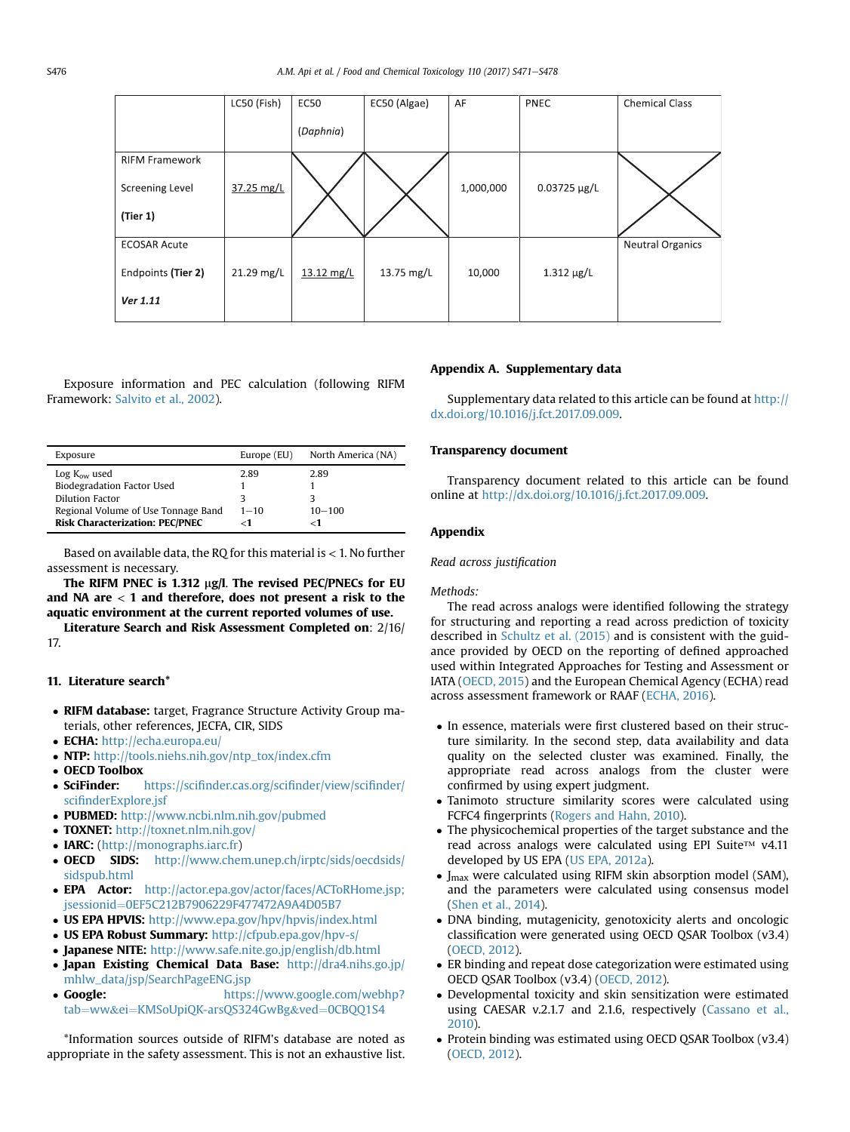|                       | LC50 (Fish) | <b>EC50</b>          | EC50 (Algae) | AF        | PNEC              | <b>Chemical Class</b>   |
|-----------------------|-------------|----------------------|--------------|-----------|-------------------|-------------------------|
|                       |             | (Daphnia)            |              |           |                   |                         |
| <b>RIFM Framework</b> |             |                      |              |           |                   |                         |
| Screening Level       | 37.25 mg/L  |                      |              | 1,000,000 | $0.03725 \mu g/L$ |                         |
| (Tier 1)              |             |                      |              |           |                   |                         |
| <b>ECOSAR Acute</b>   |             |                      |              |           |                   | <b>Neutral Organics</b> |
| Endpoints (Tier 2)    | 21.29 mg/L  | $13.12 \text{ mg/L}$ | 13.75 mg/L   | 10,000    | $1.312 \mu g/L$   |                         |
| Ver 1.11              |             |                      |              |           |                   |                         |

Exposure information and PEC calculation (following RIFM Framework: [Salvito et al., 2002\)](#page-7-0).

| Exposure                               | Europe (EU) | North America (NA) |
|----------------------------------------|-------------|--------------------|
| $Log K_{ow}$ used                      | 2.89        | 2.89               |
| <b>Biodegradation Factor Used</b>      |             |                    |
| <b>Dilution Factor</b>                 |             |                    |
| Regional Volume of Use Tonnage Band    | $1 - 10$    | $10 - 100$         |
| <b>Risk Characterization: PEC/PNEC</b> | -1          | -1                 |

Based on available data, the RQ for this material is < 1. No further assessment is necessary.

The RIFM PNEC is 1.312  $\mu$ g/l. The revised PEC/PNECs for EU and NA are < 1 and therefore, does not present a risk to the aquatic environment at the current reported volumes of use.

Literature Search and Risk Assessment Completed on: 2/16/ 17.

# 11. Literature search\*

- RIFM database: target, Fragrance Structure Activity Group materials, other references, JECFA, CIR, SIDS
- ECHA: <http://echa.europa.eu/>
- NTP: [http://tools.niehs.nih.gov/ntp\\_tox/index.cfm](http://tools.niehs.nih.gov/ntp_tox/index.cfm)
- OECD Toolbox<br>• SciFinder:
- https://scifi[nder.cas.org/sci](https://scifinder.cas.org/scifinder/view/scifinder/scifinderExplore.jsf)finder/view/scifinder/ scifi[nderExplore.jsf](https://scifinder.cas.org/scifinder/view/scifinder/scifinderExplore.jsf)
- PUBMED: <http://www.ncbi.nlm.nih.gov/pubmed>
- TOXNET: <http://toxnet.nlm.nih.gov/>
- IARC: [\(http://monographs.iarc.fr\)](http://monographs.iarc.fr)
- OECD SIDS: [http://www.chem.unep.ch/irptc/sids/oecdsids/](http://www.chem.unep.ch/irptc/sids/oecdsids/sidspub.html) [sidspub.html](http://www.chem.unep.ch/irptc/sids/oecdsids/sidspub.html)
- EPA Actor: [http://actor.epa.gov/actor/faces/ACToRHome.jsp;](http://actor.epa.gov/actor/faces/ACToRHome.jsp;jsessionid=0EF5C212B7906229F477472A9A4D05B7) [jsessionid](http://actor.epa.gov/actor/faces/ACToRHome.jsp;jsessionid=0EF5C212B7906229F477472A9A4D05B7)¼[0EF5C212B7906229F477472A9A4D05B7](http://actor.epa.gov/actor/faces/ACToRHome.jsp;jsessionid=0EF5C212B7906229F477472A9A4D05B7)
- US EPA HPVIS: <http://www.epa.gov/hpv/hpvis/index.html>
- US EPA Robust Summary: <http://cfpub.epa.gov/hpv-s/>
- Japanese NITE: <http://www.safe.nite.go.jp/english/db.html>
- Japan Existing Chemical Data Base: [http://dra4.nihs.go.jp/](http://dra4.nihs.go.jp/mhlw_data/jsp/SearchPageENG.jsp) [mhlw\\_data/jsp/SearchPageENG.jsp](http://dra4.nihs.go.jp/mhlw_data/jsp/SearchPageENG.jsp)
- Google: [https://www.google.com/webhp?](https://www.google.com/webhp?tab=ww&ei=KMSoUpiQK-arsQS324GwBg&ved=0CBQQ1S4) [tab](https://www.google.com/webhp?tab=ww&ei=KMSoUpiQK-arsQS324GwBg&ved=0CBQQ1S4)=[ww](https://www.google.com/webhp?tab=ww&ei=KMSoUpiQK-arsQS324GwBg&ved=0CBQQ1S4)&[ei](https://www.google.com/webhp?tab=ww&ei=KMSoUpiQK-arsQS324GwBg&ved=0CBQQ1S4)=[KMSoUpiQK-arsQS324GwBg](https://www.google.com/webhp?tab=ww&ei=KMSoUpiQK-arsQS324GwBg&ved=0CBQQ1S4)&[ved](https://www.google.com/webhp?tab=ww&ei=KMSoUpiQK-arsQS324GwBg&ved=0CBQQ1S4)=[0CBQQ1S4](https://www.google.com/webhp?tab=ww&ei=KMSoUpiQK-arsQS324GwBg&ved=0CBQQ1S4)

\*Information sources outside of RIFM's database are noted as appropriate in the safety assessment. This is not an exhaustive list.

#### Appendix A. Supplementary data

Supplementary data related to this article can be found at [http://](http://dx.doi.org/10.1016/j.fct.2017.09.009) [dx.doi.org/10.1016/j.fct.2017.09.009](http://dx.doi.org/10.1016/j.fct.2017.09.009).

#### Transparency document

Transparency document related to this article can be found online at [http://dx.doi.org/10.1016/j.fct.2017.09.009.](http://dx.doi.org/10.1016/j.fct.2017.09.009)

### Appendix

#### Read across justification

#### Methods:

The read across analogs were identified following the strategy for structuring and reporting a read across prediction of toxicity described in [Schultz et al. \(2015\)](#page-7-0) and is consistent with the guidance provided by OECD on the reporting of defined approached used within Integrated Approaches for Testing and Assessment or IATA [\(OECD, 2015\)](#page-7-0) and the European Chemical Agency (ECHA) read across assessment framework or RAAF [\(ECHA, 2016\)](#page-7-0).

- In essence, materials were first clustered based on their structure similarity. In the second step, data availability and data quality on the selected cluster was examined. Finally, the appropriate read across analogs from the cluster were confirmed by using expert judgment.
- Tanimoto structure similarity scores were calculated using FCFC4 fingerprints [\(Rogers and Hahn, 2010](#page-7-0)).
- The physicochemical properties of the target substance and the read across analogs were calculated using EPI Suite™ v4.11 developed by US EPA [\(US EPA, 2012a](#page-7-0)).
- Jmax were calculated using RIFM skin absorption model (SAM), and the parameters were calculated using consensus model ([Shen et al., 2014\)](#page-7-0).
- DNA binding, mutagenicity, genotoxicity alerts and oncologic classification were generated using OECD QSAR Toolbox (v3.4) ([OECD, 2012\)](#page-7-0).
- ER binding and repeat dose categorization were estimated using OECD QSAR Toolbox (v3.4) [\(OECD, 2012](#page-7-0)).
- Developmental toxicity and skin sensitization were estimated using CAESAR v.2.1.7 and 2.1.6, respectively [\(Cassano et al.,](#page-7-0) [2010\)](#page-7-0).
- Protein binding was estimated using OECD QSAR Toolbox (v3.4) ([OECD, 2012\)](#page-7-0).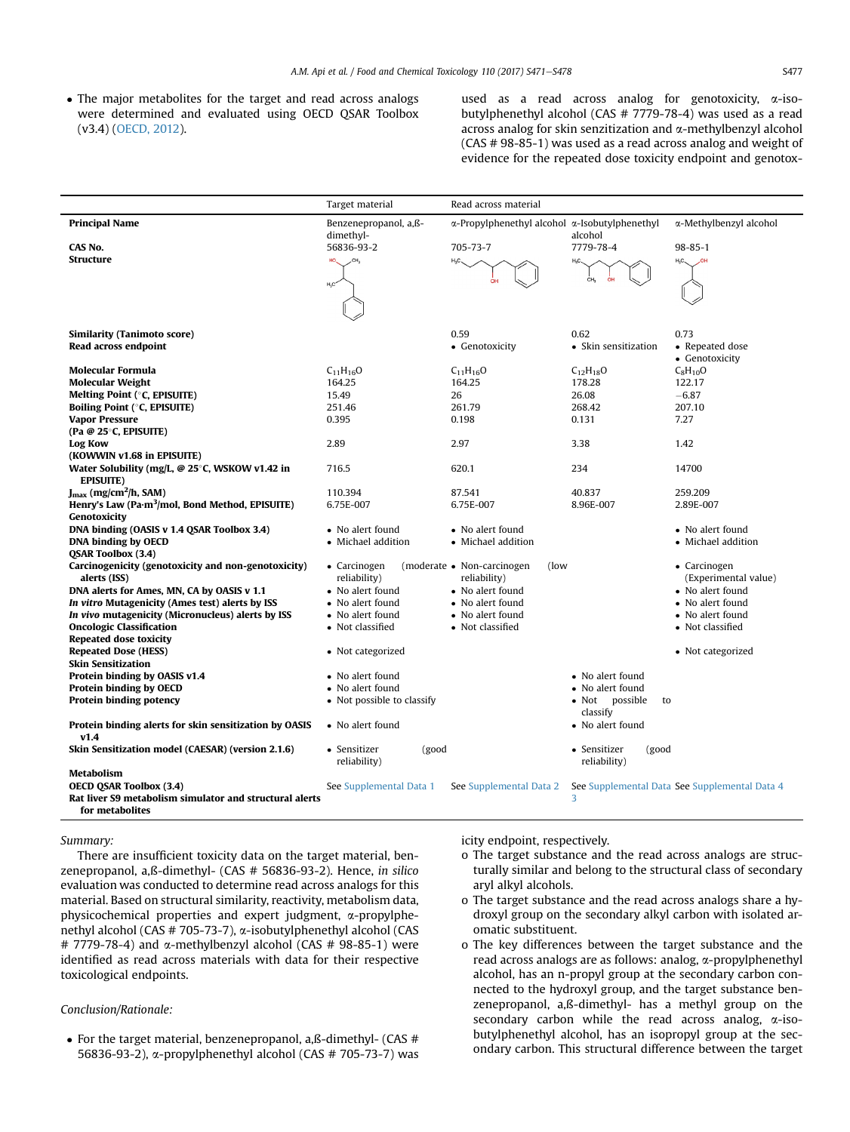• The major metabolites for the target and read across analogs were determined and evaluated using OECD QSAR Toolbox (v3.4) ([OECD, 2012\)](#page-7-0).

used as a read across analog for genotoxicity, a-isobutylphenethyl alcohol (CAS # 7779-78-4) was used as a read across analog for skin senzitization and a-methylbenzyl alcohol (CAS # 98-85-1) was used as a read across analog and weight of evidence for the repeated dose toxicity endpoint and genotox-

|                                                                                  | Target material                       | Read across material                                          |                                          |                                               |
|----------------------------------------------------------------------------------|---------------------------------------|---------------------------------------------------------------|------------------------------------------|-----------------------------------------------|
| <b>Principal Name</b>                                                            | Benzenepropanol, a,ß-                 | $\alpha$ -Propylphenethyl alcohol $\alpha$ -Isobutylphenethyl |                                          | α-Methylbenzyl alcohol                        |
| CAS No.<br><b>Structure</b>                                                      | dimethyl-<br>56836-93-2               | 705-73-7                                                      | alcohol<br>7779-78-4<br>H <sub>2</sub> C | $98 - 85 - 1$                                 |
|                                                                                  |                                       |                                                               | ċн.                                      |                                               |
|                                                                                  |                                       |                                                               |                                          |                                               |
|                                                                                  |                                       |                                                               |                                          |                                               |
| Similarity (Tanimoto score)                                                      |                                       | 0.59                                                          | 0.62                                     | 0.73                                          |
| Read across endpoint                                                             |                                       | • Genotoxicity                                                | • Skin sensitization                     | • Repeated dose<br>• Genotoxicity             |
| <b>Molecular Formula</b>                                                         | $C_{11}H_{16}O$                       | $C_{11}H_{16}O$                                               | $C_{12}H_{18}O$                          | $C_8H_{10}O$                                  |
| <b>Molecular Weight</b>                                                          | 164.25                                | 164.25                                                        | 178.28                                   | 122.17                                        |
| Melting Point $(°C, EPISUTE)$                                                    | 15.49                                 | 26                                                            | 26.08                                    | $-6.87$                                       |
| <b>Boiling Point (°C, EPISUITE)</b>                                              | 251.46                                | 261.79                                                        | 268.42                                   | 207.10                                        |
| <b>Vapor Pressure</b>                                                            | 0.395                                 | 0.198                                                         | 0.131                                    | 7.27                                          |
| (Pa @ 25 $\degree$ C, EPISUITE)                                                  |                                       |                                                               |                                          |                                               |
| <b>Log Kow</b><br>(KOWWIN v1.68 in EPISUITE)                                     | 2.89                                  | 2.97                                                          | 3.38                                     | 1.42                                          |
| Water Solubility (mg/L, @ 25 $\degree$ C, WSKOW v1.42 in                         | 716.5                                 | 620.1                                                         | 234                                      | 14700                                         |
| <b>EPISUITE)</b>                                                                 |                                       |                                                               |                                          |                                               |
| $J_{\text{max}}$ (mg/cm <sup>2</sup> /h, SAM)                                    | 110.394                               | 87.541                                                        | 40.837                                   | 259.209                                       |
| Henry's Law (Pa·m <sup>3</sup> /mol, Bond Method, EPISUITE)                      | 6.75E-007                             | 6.75E-007                                                     | 8.96E-007                                | 2.89E-007                                     |
| Genotoxicity                                                                     |                                       |                                                               |                                          |                                               |
| DNA binding (OASIS v 1.4 QSAR Toolbox 3.4)                                       | • No alert found                      | • No alert found                                              |                                          | • No alert found                              |
| <b>DNA binding by OECD</b>                                                       | • Michael addition                    | • Michael addition                                            |                                          | • Michael addition                            |
| <b>OSAR Toolbox (3.4)</b><br>Carcinogenicity (genotoxicity and non-genotoxicity) | • Carcinogen                          | (moderate • Non-carcinogen<br>(low)                           |                                          | • Carcinogen                                  |
| alerts (ISS)                                                                     | reliability)                          | reliability)                                                  |                                          | (Experimental value)                          |
| DNA alerts for Ames, MN, CA by OASIS v 1.1                                       | • No alert found                      | • No alert found                                              |                                          | • No alert found                              |
| In vitro Mutagenicity (Ames test) alerts by ISS                                  | • No alert found                      | • No alert found                                              |                                          | • No alert found                              |
| In vivo mutagenicity (Micronucleus) alerts by ISS                                | • No alert found                      | • No alert found                                              |                                          | • No alert found                              |
| <b>Oncologic Classification</b>                                                  | • Not classified                      | • Not classified                                              |                                          | • Not classified                              |
| <b>Repeated dose toxicity</b>                                                    |                                       |                                                               |                                          |                                               |
| <b>Repeated Dose (HESS)</b>                                                      | • Not categorized                     |                                                               |                                          | • Not categorized                             |
| <b>Skin Sensitization</b>                                                        |                                       |                                                               |                                          |                                               |
| Protein binding by OASIS v1.4                                                    | • No alert found                      |                                                               | • No alert found                         |                                               |
| <b>Protein binding by OECD</b>                                                   | • No alert found                      |                                                               | • No alert found                         |                                               |
| Protein binding potency                                                          | • Not possible to classify            |                                                               | • Not possible<br>to<br>classify         |                                               |
| Protein binding alerts for skin sensitization by OASIS<br>v1.4                   | • No alert found                      |                                                               | • No alert found                         |                                               |
| Skin Sensitization model (CAESAR) (version 2.1.6)                                | • Sensitizer<br>(good<br>reliability) |                                                               | • Sensitizer<br>(good<br>reliability)    |                                               |
| <b>Metabolism</b>                                                                |                                       |                                                               |                                          |                                               |
| <b>OECD OSAR Toolbox (3.4)</b>                                                   | See Supplemental Data 1               | See Supplemental Data 2                                       |                                          | See Supplemental Data See Supplemental Data 4 |
| Rat liver S9 metabolism simulator and structural alerts<br>for metabolites       |                                       |                                                               | 3                                        |                                               |

### Summary:

There are insufficient toxicity data on the target material, benzenepropanol, a,ß-dimethyl- (CAS # 56836-93-2). Hence, in silico evaluation was conducted to determine read across analogs for this material. Based on structural similarity, reactivity, metabolism data, physicochemical properties and expert judgment, a-propylphenethyl alcohol (CAS # 705-73-7), a-isobutylphenethyl alcohol (CAS  $\#$  7779-78-4) and  $\alpha$ -methylbenzyl alcohol (CAS  $\#$  98-85-1) were identified as read across materials with data for their respective toxicological endpoints.

# Conclusion/Rationale:

 For the target material, benzenepropanol, a,ß-dimethyl- (CAS # 56836-93-2), a-propylphenethyl alcohol (CAS # 705-73-7) was icity endpoint, respectively.

- o The target substance and the read across analogs are structurally similar and belong to the structural class of secondary aryl alkyl alcohols.
- o The target substance and the read across analogs share a hydroxyl group on the secondary alkyl carbon with isolated aromatic substituent.
- o The key differences between the target substance and the read across analogs are as follows: analog, a-propylphenethyl alcohol, has an n-propyl group at the secondary carbon connected to the hydroxyl group, and the target substance benzenepropanol, a,ß-dimethyl- has a methyl group on the secondary carbon while the read across analog, a-isobutylphenethyl alcohol, has an isopropyl group at the secondary carbon. This structural difference between the target